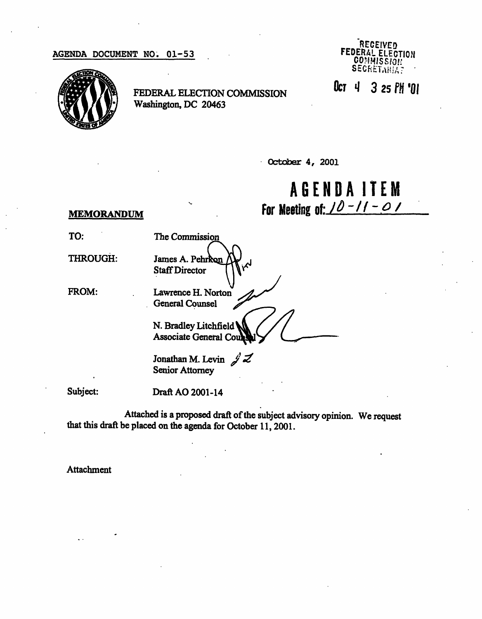## AGENDA DOCUMENT NO. 01-53



FEDERAL ELECTION COMMISSION Washington, DC 20463



October 4, 2001

AGEND A ITE M For Meeting of:  $10 - 11 - 01$ 

## MEMORANDUM

TO:

THROUGH:

FROM:

Staff Director Lawrence H. Norton General Counsel

The Commission

James A. Pe

 $\bigcap_{\Lambda}$ N. Bradley Litchfield Associate General Co

Jonathan M. Levin  $\mathscr{J}$   $\mathscr{Z}$ Senior Attorney

Subject:

Draft AO 2001-14

Attached is a proposed draft of the subject advisory opinion. We request that this draft be placed on the agenda for October 11, 2001.

Attachment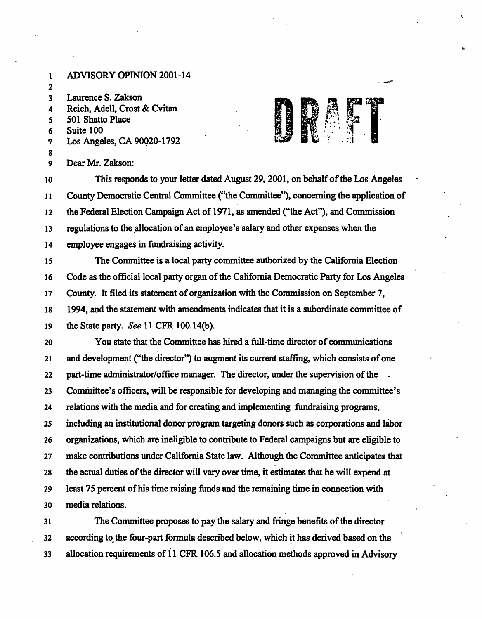1 ADVISORY OPINION 2001-14 2 3 Laurence S. Zakson 4 Reich, Adell, Crost & Cvitan 5 501 Shatto Place 6 Suite 100 7 Los Angeles, CA 90020-1792 8 9 Dear Mr. Zakson: 10 This responds to your letter dated August 29,2001, on behalf of the Los Angeles 11 County Democratic Central Committee ("the Committee"), concerning the application of 12 the Federal Election Campaign Act of 1971, as amended ("the Act"), and Commission 13 regulations to the allocation of an employee's salary and other expenses when the 14 employee engages in fundraising activity. 15 The Committee is a local party committee authorized by the California Election 16 Code as the official local party organ of the California Democratic Party for Los Angeles 17 County. It filed its statement of organization with the Commission on September 7, 18 1994, and the statement with amendments indicates that it is a subordinate committee of 19 the State party. See 11 CFR 100.14(b). 20 You state that the Committee has hired a full-time director of communications 21 and development ("the director") to augment its current staffing, which consists of one 22 part-time administrator/office manager. The director, under the supervision of the 23 Committee's officers, will be responsible for developing and managing the committee's 24 relations with the media and for creating and implementing fundraising programs, 25 including an institutional donor program targeting donors such as corporations and labor 26 organizations, which are ineligible to contribute to Federal campaigns but are eligible to 27 make contributions under California State law. Although the Committee anticipates that 28 the actual duties of the director will vary over time, it estimates that he will expend at 29 least 75 percent of his time raising funds and the remaining time in connection with 30 media relations. 31 The Committee proposes to pay the salary and fringe benefits of the director 32 according to the four-part formula described below, which it has derived based on the 33 allocation requirements of 11 CFR 106.5 and allocation methods approved in Advisory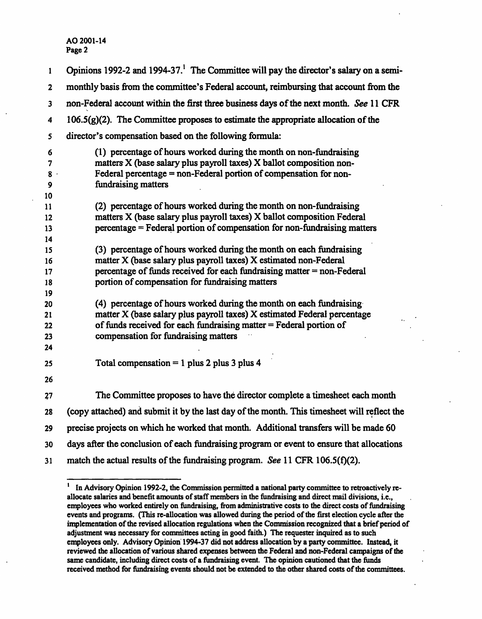| 1                          | Opinions 1992-2 and 1994-37. <sup>1</sup> The Committee will pay the director's salary on a semi-                                                                                                                                                                       |
|----------------------------|-------------------------------------------------------------------------------------------------------------------------------------------------------------------------------------------------------------------------------------------------------------------------|
| $\mathbf{2}$               | monthly basis from the committee's Federal account, reimbursing that account from the                                                                                                                                                                                   |
| 3                          | non-Federal account within the first three business days of the next month. See 11 CFR                                                                                                                                                                                  |
| 4                          | $106.5(g)(2)$ . The Committee proposes to estimate the appropriate allocation of the                                                                                                                                                                                    |
| 5                          | director's compensation based on the following formula:                                                                                                                                                                                                                 |
| 6<br>7<br>$8 -$<br>9<br>10 | (1) percentage of hours worked during the month on non-fundraising<br>matters X (base salary plus payroll taxes) X ballot composition non-<br>Federal percentage = non-Federal portion of compensation for non-<br>fundraising matters                                  |
| 11<br>12<br>13<br>14       | (2) percentage of hours worked during the month on non-fundraising<br>matters X (base salary plus payroll taxes) X ballot composition Federal<br>percentage = Federal portion of compensation for non-fundraising matters                                               |
| 15<br>16<br>17<br>18<br>19 | (3) percentage of hours worked during the month on each fundraising<br>matter X (base salary plus payroll taxes) X estimated non-Federal<br>percentage of funds received for each fundraising matter $=$ non-Federal<br>portion of compensation for fundraising matters |
| 20<br>21<br>22<br>23<br>24 | (4) percentage of hours worked during the month on each fundraising<br>matter X (base salary plus payroll taxes) X estimated Federal percentage<br>of funds received for each fundraising matter = Federal portion of<br>compensation for fundraising matters           |
| 25<br>26                   | Total compensation = 1 plus 2 plus 3 plus 4                                                                                                                                                                                                                             |
| 27                         | The Committee proposes to have the director complete a timesheet each month                                                                                                                                                                                             |
| 28                         | (copy attached) and submit it by the last day of the month. This timesheet will reflect the                                                                                                                                                                             |
| 29                         | precise projects on which he worked that month. Additional transfers will be made 60                                                                                                                                                                                    |
| 30                         | days after the conclusion of each fundraising program or event to ensure that allocations                                                                                                                                                                               |
| 31                         | match the actual results of the fundraising program. See 11 CFR $106.5(f)(2)$ .                                                                                                                                                                                         |

<sup>1</sup> In Advisory Opinion 1992-2, the Commission permitted a national party committee to retroactively reallocate salaries and benefit amounts of staff members in the fundraising and direct mail divisions, i.e., employees who worked entirely on fundraising, from administrative costs to the direct costs of fundraising events and programs. (This re-allocation was allowed during the period of the first election cycle after the implementation of the revised allocation regulations when the Commission recognized that a brief period of adjustment was necessary for committees acting in good faith.) The requester inquired as to such employees only. Advisory Opinion 1994-37 did not address allocation by a party committee. Instead, it reviewed the allocation of various shared expenses between the Federal and non-Federal campaigns of the same candidate, including direct costs of a fundraising event. The opinion cautioned that the funds received method for fundraising events should not be extended to the other shared costs of the committees.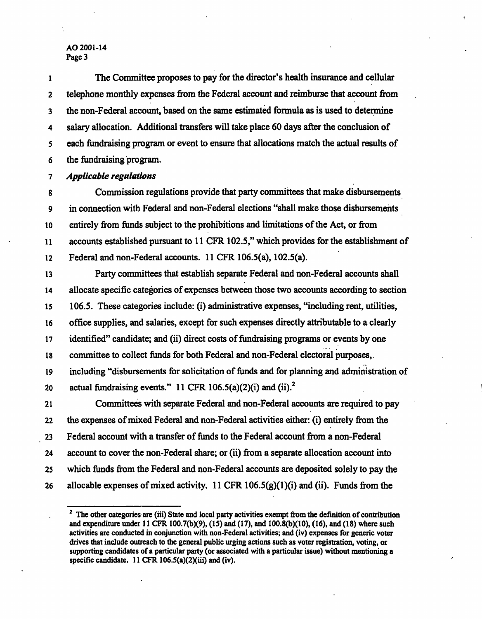1 The Committee proposes to pay for the director's health insurance and cellular 2 telephone monthly expenses from the Federal account and reimburse that account from 3 the non-Federal account, based on the same estimated formula as is used to determine 4 salary allocation. Additional transfers will take place 60 days after the conclusion of 5 each fundraising program or event to ensure that allocations match the actual results of 6 the fundraising program.

7 Applicable regulations

8 Commission regulations provide that party committees that make disbursements 9 in connection with Federal and non-Federal elections "shall make those disbursements 10 entirely from funds subject to the prohibitions and limitations of the Act, or from 11 accounts established pursuant to 11 CFR 102.5," which provides for the establishment of 12 Federal and non-Federal accounts. 11 CFR 106.5(a), 102.5(a).

13 Party committees that establish separate Federal and non-Federal accounts shall 14 allocate specific categories of expenses between those two accounts according to section 15 106.5. These categories include: (i) administrative expenses, "including rent, utilities, 16 office supplies, and salaries, except for such expenses directly attributable to a clearly 17 identified" candidate; and (ii) direct costs of fundraising programs or events by one 18 committee to collect funds for both Federal and non-Federal electoral purposes,. 19 including "disbursements for solicitation of funds and for planning and administration of 20 actual fundraising events." 11 CFR 106.5(a)(2)(i) and (ii).<sup>2</sup> 21 Committees with separate Federal and non-Federal accounts are required to pay

22 the expenses of mixed Federal and non-Federal activities either: (i) entirely from the 23 Federal account with a transfer of funds to the Federal account from a non-Federal 24 account to cover the non-Federal share; or (ii) from a separate allocation account into 25 which funds from the Federal and non-Federal accounts are deposited solely to pay the 26 allocable expenses of mixed activity. 11 CFR  $106.5(g)(1)(i)$  and (ii). Funds from the

<sup>&</sup>lt;sup>2</sup> The other categories are (iii) State and local party activities exempt from the definition of contribution and expenditure under 11 CFR I00.7(b)(9), (15) and (17), and 100.8(b)(10), (16), and (18) where such activities are conducted in conjunction with non-Federal activities; and (iv) expenses for generic voter drives that include outreach to the general public urging actions such as voter registration, voting, or supporting candidates of a particular party (or associated with a particular issue) without mentioning a specific candidate. 11 CFR 106.5(a)(2)(iii) and (iv).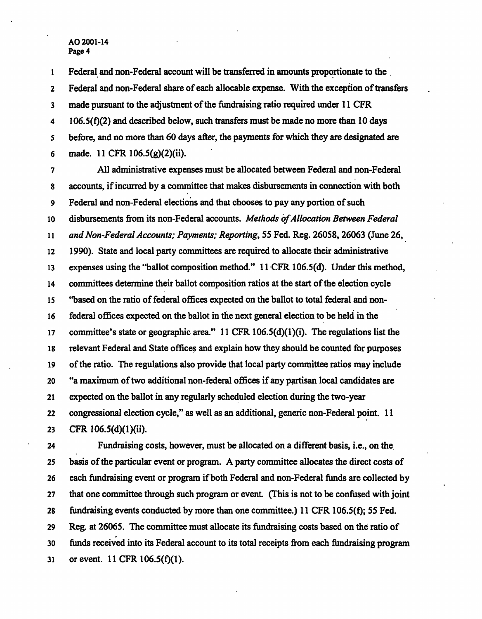1 Federal and non-Federal account will be transferred in amounts proportionate to the 2 Federal and non-Federal share of each allocable expense. With the exception of transfers 3 made pursuant to the adjustment of the fundraising ratio required under 11 CFR  $4$  106.5(f)(2) and described below, such transfers must be made no more than 10 days 5 before, and no more than 60 days after, the payments for which they are designated are 6 made. 11 CFR 106.5(g)(2)(ii).

7 All administrative expenses must be allocated between Federal and non-Federal 8 accounts, if incurred by a committee that makes disbursements in connection with both 9 Federal and non-Federal elections and that chooses to pay any portion of such 10 disbursements from its non-Federal accounts. Methods of Allocation Between Federal 11 and Non-Federal Accounts; Payments; Reporting, 55 Fed. Reg. 26058, 26063 (June 26, 12 1990). State and local party committees are required to allocate their administrative 13 expenses using the "ballot composition method." 11 CFR 106.5(d). Under this method, 14 committees determine their ballot composition ratios at the start of the election cycle 15 "based on the ratio of federal offices expected on the ballot to total federal and non-16 federal offices expected on the ballot in the next general election to be held in the 17 committee's state or geographic area." 11 CFR 106.5(d)(l)(i). The regulations list the 18 relevant Federal and State offices and explain how they should be counted for purposes 19 of the ratio. The regulations also provide that local party committee ratios may include 20 "a maximum of two additional non-federal offices if any partisan local candidates are 21 expected on the ballot in any regularly scheduled election during the two-year 22 congressional election cycle," as well as an additional, generic non-Federal point. 11 23 CFR 106.5(d)(l)(ii).

24 Fundraising costs, however, must be allocated on a different basis, i.e., on the 25 basis of the particular event or program. A party committee allocates the direct costs of 26 each fundraising event or program if both Federal and non-Federal funds are collected by 27 that one committee through such program or event. (This is not to be confused with joint 28 fundraising events conducted by more than one committee.) 11 CFR 106.5(f); 55 Fed. 29 Reg. at 26065. The committee must allocate its fundraising costs based on the ratio of 30 funds received into its Federal account to its total receipts from each fundraising program 31 or event. 11 CFR 106.5(f)(l).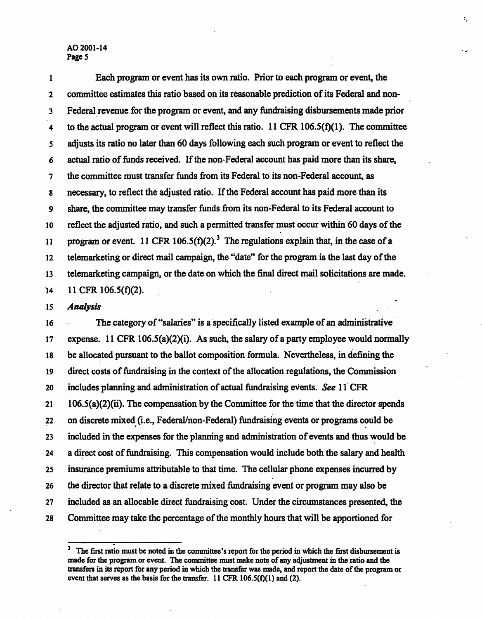1 Each program or event has its own ratio. Prior to each program or event, the 2 committee estimates this ratio based on its reasonable prediction of its Federal and non-3 Federal revenue for the program or event, and any fundraising disbursements made prior 4 to the actual program or event will reflect this ratio. 11 CFR 106.5( $f$ )(1). The committee 5 adjusts its ratio no later than 60 days following each such program or event to reflect the 6 actual ratio of funds received. If the non-Federal account has paid more than its share, 7 the committee must transfer funds from its Federal to its non-Federal account, as 8 necessary, to reflect the adjusted ratio. If the Federal account has paid more than its 9 share, the committee may transfer funds from its non-Federal to its Federal account to 10 reflect the adjusted ratio, and such a permitted transfer must occur within 60 days of the 11 program or event. 11 CFR 106.5 $(f)(2)^3$  The regulations explain that, in the case of a 12 telemarketing or direct mail campaign, the "date" for the program is the last day of the 13 telemarketing campaign, or the date on which the final direct mail solicitations are made.  $14$  11 CFR 106.5(f)(2).

٢,

15 Analysis

16 The category of "salaries" is a specifically listed example of an administrative 17 expense. 11 CFR 106.5(a)(2)(i). As such, the salary of a party employee would normally 18 be allocated pursuant to the ballot composition formula. Nevertheless, in defining the 19 direct costs of fundraising in the context of the allocation regulations, the Commission 20 includes planning and administration of actual fundraising events. See 11 CFR 21 106.5(a)(2)(ii). The compensation by the Committee for the time that the director spends 22 on discrete mixed (i.e., Federal/non-Federal) fundraising events or programs could be 23 included in the expenses for the planning and administration of events and thus would be 24 a direct cost of fundraising. This compensation would include both the salary and health 25 insurance premiums attributable to that time. The cellular phone expenses incurred by 26 the director that relate to a discrete mixed fundraising event or program may also be 27 included as an allocable direct fundraising cost. Under the circumstances presented, the 28 Committee may take the percentage of the monthly hours that will be apportioned for

<sup>3</sup> The first ratio must be noted in the committee's report for the period in which the first disbursement is made for the program or event. The committee must make note of any adjustment in the ratio and the transfers in its report for any period in which the transfer was made, and report the date of the program or event that serves as the basis for the transfer.  $11$  CFR  $106.5(f)(1)$  and (2).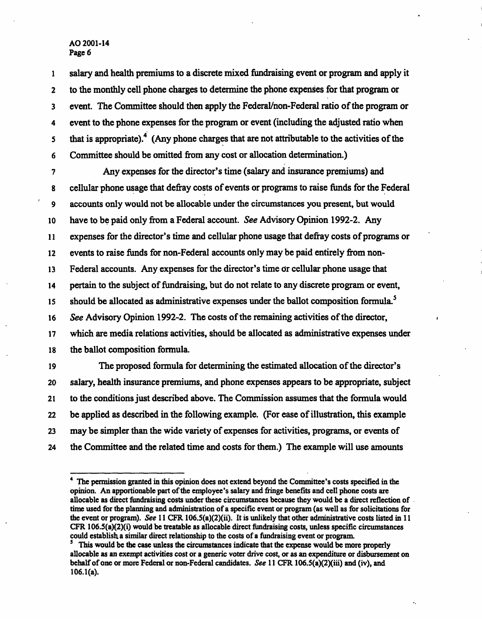1 salary and health premiums to a discrete mixed fundraising event or program and apply it 2 to the monthly cell phone charges to determine the phone expenses for that program or 3 event. The Committee should then apply the Federal/non-Federal ratio of the program or 4 event to the phone expenses for the program or event (including the adjusted ratio when that is appropriate).<sup>4</sup> (Any phone charges that are not attributable to the activities of the 6 Committee should be omitted from any cost or allocation determination.)

7 Any expenses for the director's time (salary and insurance premiums) and 8 cellular phone usage that defray costs of events or programs to raise funds for the Federal 9 accounts only would not be allocable under the circumstances you present, but would 10 have to be paid only from a Federal account. See Advisory Opinion 1992-2. Any 11 expenses for the director's time and cellular phone usage that defray costs of programs or 12 events to raise funds for non-Federal accounts only may be paid entirely from non-13 Federal accounts. Any expenses for the director's time or cellular phone usage that 14 pertain to the subject of fundraising, but do not relate to any discrete program or event, 15 should be allocated as administrative expenses under the ballot composition formula.<sup>5</sup> 16 See Advisory Opinion 1992-2. The costs of the remaining activities of the director, 17 which are media relations activities, should be allocated as administrative expenses under 18 the ballot composition formula.

19 The proposed formula for determining the estimated allocation of the director's 20 salary, health insurance premiums, and phone expenses appears to be appropriate, subject 21 to the conditions just described above. The Commission assumes that the formula would 22 be applied as described in the following example. (For ease of illustration, this example 23 may be simpler than the wide variety of expenses for activities, programs, or events of 24 the Committee and the related time and costs for them.) The example will use amounts

<sup>4</sup> The permission granted in this opinion does not extend beyond the Committee's costs specified in the opinion. An apportionable part of the employee's salary and fringe benefits and cell phone costs are allocable as direct fundraising costs under these circumstances because they would be a direct reflection of. time used for the planning and administration of a specific event or program (as well as for solicitations for the event or program). See 11 CFR 106.5(a)(2)(ii). It is unlikely that other administrative costs listed in 11 CFR 106.5(a)(2)(i) would be treatable as allocable direct fundraising costs, unless specific circumstances could establish, a similar direct relationship to the costs of a fundraising event or program.

<sup>5</sup> This would be the case unless the circumstances indicate that the expense would be more properly allocable as an exempt activities cost or a generic voter drive cost, or as an expenditure or disbursement on behalf of one or more Federal or non-Federal candidates. See 11 CFR 106.5(a)(2)(iii) and (iv), and $106.1(a)$ .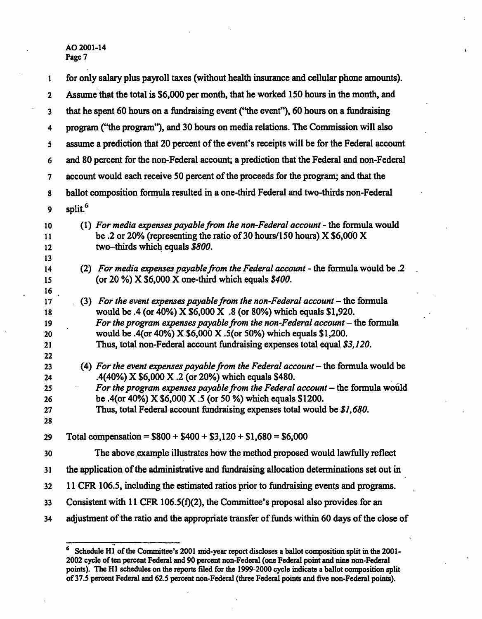| 1                                | for only salary plus payroll taxes (without health insurance and cellular phone amounts).                                                                                                                                                                                                                                                                                               |
|----------------------------------|-----------------------------------------------------------------------------------------------------------------------------------------------------------------------------------------------------------------------------------------------------------------------------------------------------------------------------------------------------------------------------------------|
| $\mathbf{2}$                     | Assume that the total is \$6,000 per month, that he worked 150 hours in the month, and                                                                                                                                                                                                                                                                                                  |
| $\overline{\mathbf{3}}$          | that he spent 60 hours on a fundraising event ("the event"), 60 hours on a fundraising                                                                                                                                                                                                                                                                                                  |
| 4                                | program ("the program"), and 30 hours on media relations. The Commission will also                                                                                                                                                                                                                                                                                                      |
| 5                                | assume a prediction that 20 percent of the event's receipts will be for the Federal account                                                                                                                                                                                                                                                                                             |
| 6                                | and 80 percent for the non-Federal account; a prediction that the Federal and non-Federal                                                                                                                                                                                                                                                                                               |
| 7                                | account would each receive 50 percent of the proceeds for the program; and that the                                                                                                                                                                                                                                                                                                     |
| 8                                | ballot composition formula resulted in a one-third Federal and two-thirds non-Federal                                                                                                                                                                                                                                                                                                   |
| 9                                | split. <sup>6</sup>                                                                                                                                                                                                                                                                                                                                                                     |
| 10<br>11<br>12                   | (1) For media expenses payable from the non-Federal account - the formula would<br>be .2 or 20% (representing the ratio of 30 hours/150 hours) $X$ \$6,000 X<br>two-thirds which equals \$800.                                                                                                                                                                                          |
| 13<br>14<br>15<br>16             | (2) For media expenses payable from the Federal account - the formula would be .2<br>(or 20 %) $X$ \$6,000 $X$ one-third which equals $$400$ .                                                                                                                                                                                                                                          |
| 17<br>18<br>19<br>20<br>21<br>22 | (3) For the event expenses payable from the non-Federal account $-$ the formula<br>would be .4 (or 40%) X \$6,000 X .8 (or 80%) which equals \$1,920.<br>For the program expenses payable from the non-Federal account $-$ the formula<br>would be .4(or 40%) X \$6,000 X .5(or 50%) which equals \$1,200.<br>Thus, total non-Federal account fundraising expenses total equal \$3,120. |
| 23<br>24<br>25<br>26<br>27<br>28 | (4) For the event expenses payable from the Federal account $-$ the formula would be<br>.4(40%) X \$6,000 X .2 (or 20%) which equals \$480.<br>For the program expenses payable from the Federal account $-$ the formula would<br>be .4(or 40%) X \$6,000 X .5 (or 50 %) which equals \$1200.<br>Thus, total Federal account fundraising expenses total would be \$1,680.               |
| 29                               | Total compensation = $$800 + $400 + $3,120 + $1,680 = $6,000$                                                                                                                                                                                                                                                                                                                           |
| 30                               | The above example illustrates how the method proposed would lawfully reflect                                                                                                                                                                                                                                                                                                            |
| 31                               | the application of the administrative and fundraising allocation determinations set out in                                                                                                                                                                                                                                                                                              |
| 32                               | 11 CFR 106.5, including the estimated ratios prior to fundraising events and programs.                                                                                                                                                                                                                                                                                                  |
| 33                               | Consistent with 11 CFR 106.5( $f$ )(2), the Committee's proposal also provides for an                                                                                                                                                                                                                                                                                                   |
| 34                               | adjustment of the ratio and the appropriate transfer of funds within 60 days of the close of                                                                                                                                                                                                                                                                                            |

<sup>6</sup> Schedule HI of the Committee's 2001 mid-year report discloses a ballot composition split in the 2001- 2002 cycle of ten percent Federal and 90 percent non-Federal (one Federal point and nine non-Federal points). The HI schedules on the reports filed for the 1999-2000 cycle indicate a ballot composition split of 37.5 percent Federal and 62.5 percent non-Federal (three Federal points and five non-Federal points).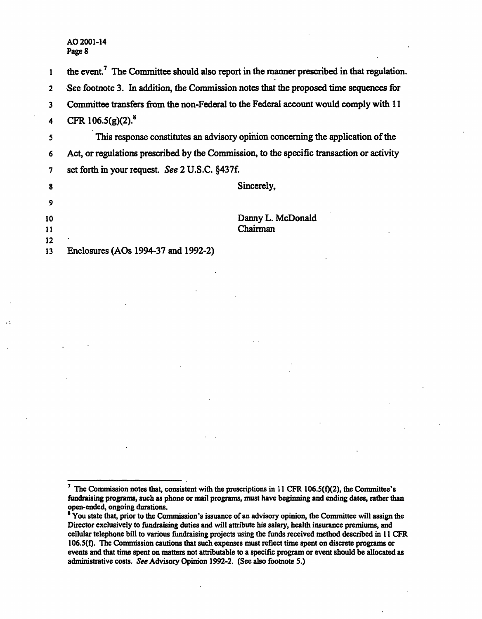1 the event.<sup>7</sup> The Committee should also report in the manner prescribed in that regulation.

2 See footnote 3. In addition, the Commission notes that the proposed time sequences for

3 Committee transfers from the non-Federal to the Federal account would comply with 11

4 CFR  $106.5(g)(2)^8$ 

5 This response constitutes an advisory opinion concerning the application of the 6 Act, or regulations prescribed by the Commission, to the specific transaction or activity 7 set forth in your request. See 2 U.S.C. §437f.

|    |                                     | Sincerely,        |
|----|-------------------------------------|-------------------|
| 9  |                                     |                   |
| 10 |                                     | Danny L. McDonald |
| 11 |                                     | Chairman          |
| 12 | ٠                                   |                   |
| 13 | Enclosures (AOs 1994-37 and 1992-2) |                   |

<sup>&</sup>lt;sup>7</sup> The Commission notes that, consistent with the prescriptions in 11 CFR 106.5(f)(2), the Committee's fundraising programs, such as phone or mail programs, must have beginning and ending dates, rather than open-ended, ongoing durations.

<sup>&</sup>lt;sup>8</sup> You state that, prior to the Commission's issuance of an advisory opinion, the Committee will assign the Director exclusively to fundraising duties and will attribute his salary, health insurance premiums, and cellular telephone bill to various fundraising projects using the funds received method described in 11 CFR 106.S(f). The Commission cautions that such expenses must reflect time spent on discrete programs or events and that time spent on matters not attributable to a specific program or event should be allocated as administrative costs. See Advisory Opinion 1992-2. (See also footnote 5.)